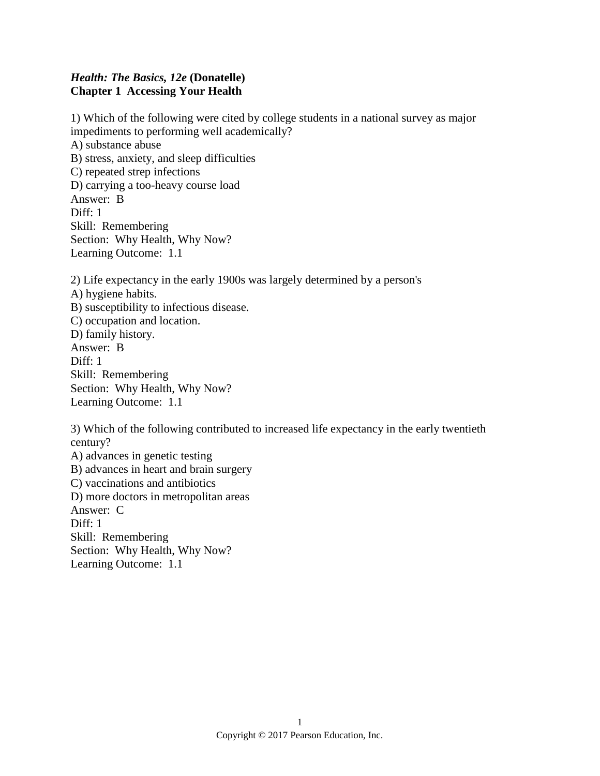## *Health: The Basics, 12e* **(Donatelle) Chapter 1 Accessing Your Health**

1) Which of the following were cited by college students in a national survey as major impediments to performing well academically? A) substance abuse B) stress, anxiety, and sleep difficulties C) repeated strep infections D) carrying a too-heavy course load Answer: B Diff: 1 Skill: Remembering Section: Why Health, Why Now? Learning Outcome: 1.1

2) Life expectancy in the early 1900s was largely determined by a person's A) hygiene habits. B) susceptibility to infectious disease. C) occupation and location. D) family history. Answer: B Diff: 1 Skill: Remembering Section: Why Health, Why Now? Learning Outcome: 1.1

3) Which of the following contributed to increased life expectancy in the early twentieth century? A) advances in genetic testing B) advances in heart and brain surgery C) vaccinations and antibiotics D) more doctors in metropolitan areas Answer: C Diff: 1 Skill: Remembering Section: Why Health, Why Now? Learning Outcome: 1.1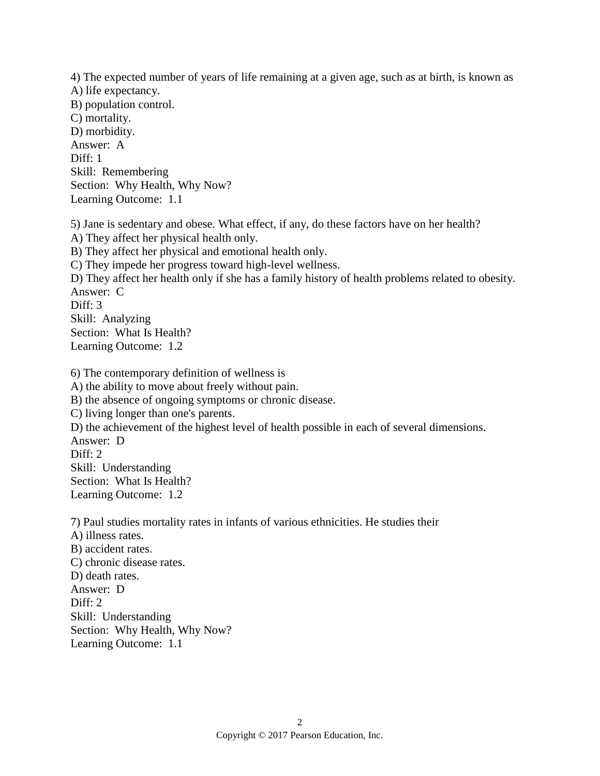4) The expected number of years of life remaining at a given age, such as at birth, is known as A) life expectancy. B) population control. C) mortality. D) morbidity. Answer: A Diff: 1 Skill: Remembering Section: Why Health, Why Now? Learning Outcome: 1.1

5) Jane is sedentary and obese. What effect, if any, do these factors have on her health? A) They affect her physical health only. B) They affect her physical and emotional health only. C) They impede her progress toward high-level wellness. D) They affect her health only if she has a family history of health problems related to obesity. Answer: C Diff: 3 Skill: Analyzing Section: What Is Health? Learning Outcome: 1.2

6) The contemporary definition of wellness is A) the ability to move about freely without pain. B) the absence of ongoing symptoms or chronic disease. C) living longer than one's parents. D) the achievement of the highest level of health possible in each of several dimensions. Answer: D Diff: 2 Skill: Understanding Section: What Is Health? Learning Outcome: 1.2

7) Paul studies mortality rates in infants of various ethnicities. He studies their A) illness rates. B) accident rates. C) chronic disease rates. D) death rates. Answer: D Diff: 2 Skill: Understanding Section: Why Health, Why Now? Learning Outcome: 1.1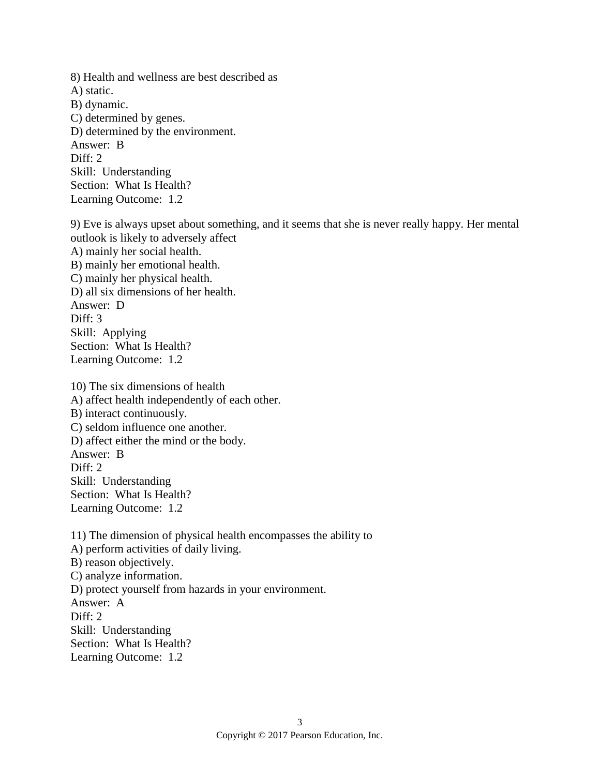8) Health and wellness are best described as A) static. B) dynamic. C) determined by genes. D) determined by the environment. Answer: B Diff: 2 Skill: Understanding Section: What Is Health? Learning Outcome: 1.2

9) Eve is always upset about something, and it seems that she is never really happy. Her mental outlook is likely to adversely affect A) mainly her social health. B) mainly her emotional health. C) mainly her physical health. D) all six dimensions of her health. Answer: D Diff: 3 Skill: Applying Section: What Is Health? Learning Outcome: 1.2

10) The six dimensions of health A) affect health independently of each other. B) interact continuously. C) seldom influence one another. D) affect either the mind or the body. Answer: B Diff: 2 Skill: Understanding Section: What Is Health? Learning Outcome: 1.2

11) The dimension of physical health encompasses the ability to A) perform activities of daily living. B) reason objectively. C) analyze information. D) protect yourself from hazards in your environment. Answer: A Diff: 2 Skill: Understanding Section: What Is Health? Learning Outcome: 1.2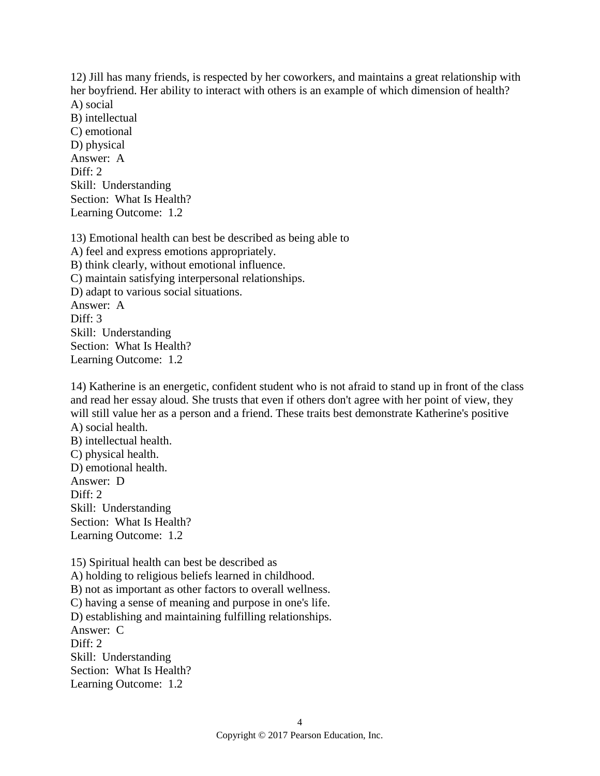12) Jill has many friends, is respected by her coworkers, and maintains a great relationship with her boyfriend. Her ability to interact with others is an example of which dimension of health? A) social

B) intellectual C) emotional D) physical Answer: A Diff: 2 Skill: Understanding Section: What Is Health? Learning Outcome: 1.2

13) Emotional health can best be described as being able to A) feel and express emotions appropriately. B) think clearly, without emotional influence. C) maintain satisfying interpersonal relationships. D) adapt to various social situations. Answer: A Diff: 3 Skill: Understanding Section: What Is Health? Learning Outcome: 1.2

14) Katherine is an energetic, confident student who is not afraid to stand up in front of the class and read her essay aloud. She trusts that even if others don't agree with her point of view, they will still value her as a person and a friend. These traits best demonstrate Katherine's positive A) social health.

B) intellectual health. C) physical health. D) emotional health. Answer: D Diff:  $2$ Skill: Understanding Section: What Is Health? Learning Outcome: 1.2

15) Spiritual health can best be described as A) holding to religious beliefs learned in childhood. B) not as important as other factors to overall wellness. C) having a sense of meaning and purpose in one's life. D) establishing and maintaining fulfilling relationships. Answer: C Diff: 2 Skill: Understanding Section: What Is Health? Learning Outcome: 1.2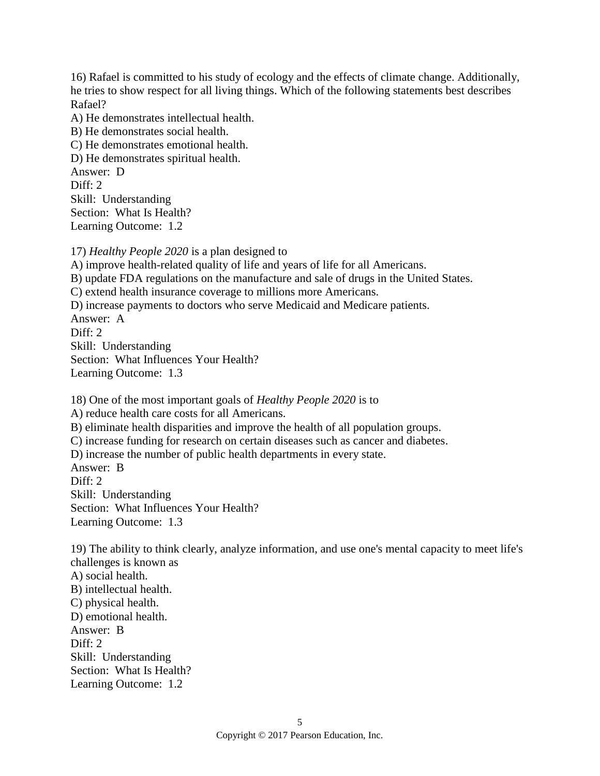16) Rafael is committed to his study of ecology and the effects of climate change. Additionally, he tries to show respect for all living things. Which of the following statements best describes Rafael?

A) He demonstrates intellectual health.

B) He demonstrates social health.

C) He demonstrates emotional health.

D) He demonstrates spiritual health.

Answer: D Diff: 2

Skill: Understanding

Section: What Is Health?

Learning Outcome: 1.2

17) *Healthy People 2020* is a plan designed to

A) improve health-related quality of life and years of life for all Americans.

B) update FDA regulations on the manufacture and sale of drugs in the United States.

C) extend health insurance coverage to millions more Americans.

D) increase payments to doctors who serve Medicaid and Medicare patients.

Answer: A

Diff: 2

Skill: Understanding

Section: What Influences Your Health?

Learning Outcome: 1.3

18) One of the most important goals of *Healthy People 2020* is to

A) reduce health care costs for all Americans.

B) eliminate health disparities and improve the health of all population groups.

C) increase funding for research on certain diseases such as cancer and diabetes.

D) increase the number of public health departments in every state.

Answer: B Diff: 2 Skill: Understanding Section: What Influences Your Health? Learning Outcome: 1.3

19) The ability to think clearly, analyze information, and use one's mental capacity to meet life's challenges is known as A) social health. B) intellectual health. C) physical health. D) emotional health. Answer: B Diff: 2 Skill: Understanding Section: What Is Health? Learning Outcome: 1.2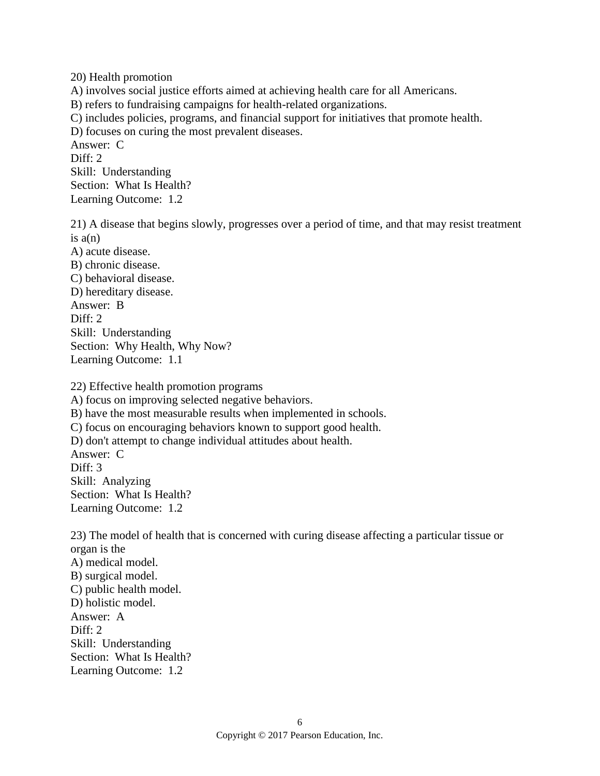20) Health promotion A) involves social justice efforts aimed at achieving health care for all Americans. B) refers to fundraising campaigns for health-related organizations. C) includes policies, programs, and financial support for initiatives that promote health. D) focuses on curing the most prevalent diseases. Answer: C Diff: 2 Skill: Understanding Section: What Is Health? Learning Outcome: 1.2

21) A disease that begins slowly, progresses over a period of time, and that may resist treatment is  $a(n)$ A) acute disease. B) chronic disease. C) behavioral disease. D) hereditary disease. Answer: B Diff: 2 Skill: Understanding Section: Why Health, Why Now? Learning Outcome: 1.1

22) Effective health promotion programs A) focus on improving selected negative behaviors. B) have the most measurable results when implemented in schools. C) focus on encouraging behaviors known to support good health. D) don't attempt to change individual attitudes about health. Answer: C Diff: 3 Skill: Analyzing Section: What Is Health? Learning Outcome: 1.2

23) The model of health that is concerned with curing disease affecting a particular tissue or organ is the A) medical model. B) surgical model. C) public health model. D) holistic model. Answer: A Diff: 2 Skill: Understanding Section: What Is Health? Learning Outcome: 1.2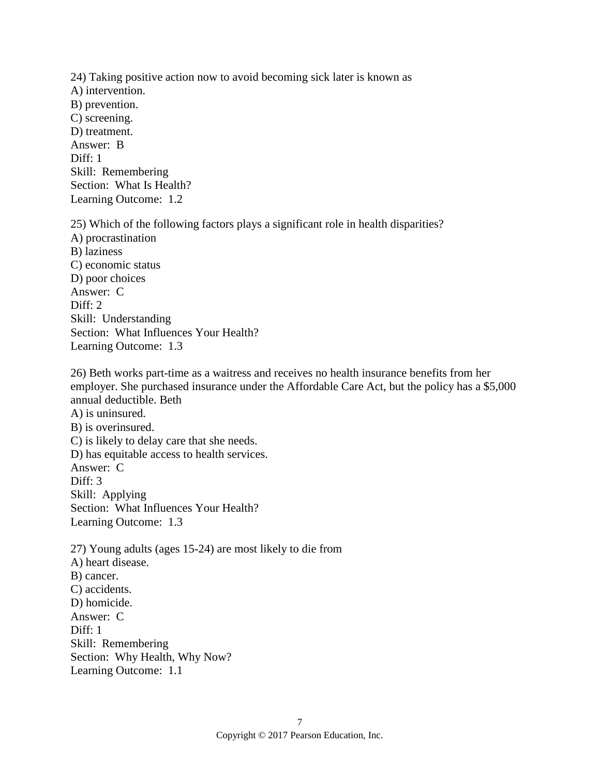24) Taking positive action now to avoid becoming sick later is known as A) intervention. B) prevention. C) screening. D) treatment. Answer: B Diff: 1 Skill: Remembering Section: What Is Health? Learning Outcome: 1.2

25) Which of the following factors plays a significant role in health disparities? A) procrastination B) laziness C) economic status D) poor choices Answer: C Diff: 2 Skill: Understanding Section: What Influences Your Health? Learning Outcome: 1.3

26) Beth works part-time as a waitress and receives no health insurance benefits from her employer. She purchased insurance under the Affordable Care Act, but the policy has a \$5,000 annual deductible. Beth A) is uninsured. B) is overinsured. C) is likely to delay care that she needs. D) has equitable access to health services. Answer: C Diff: 3 Skill: Applying Section: What Influences Your Health? Learning Outcome: 1.3 27) Young adults (ages 15-24) are most likely to die from A) heart disease. B) cancer. C) accidents. D) homicide.

Answer: C Diff: 1 Skill: Remembering Section: Why Health, Why Now? Learning Outcome: 1.1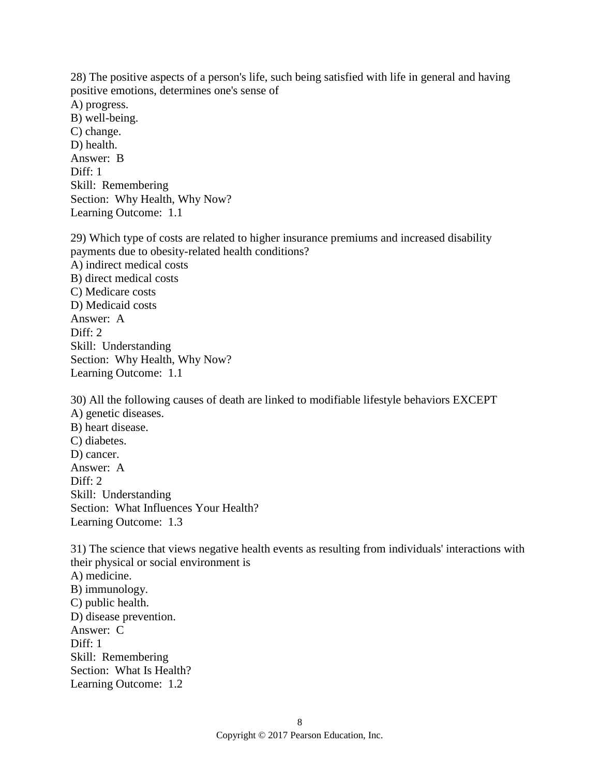28) The positive aspects of a person's life, such being satisfied with life in general and having positive emotions, determines one's sense of A) progress. B) well-being. C) change. D) health. Answer: B Diff: 1 Skill: Remembering Section: Why Health, Why Now?

29) Which type of costs are related to higher insurance premiums and increased disability payments due to obesity-related health conditions? A) indirect medical costs B) direct medical costs C) Medicare costs D) Medicaid costs Answer: A Diff: 2 Skill: Understanding Section: Why Health, Why Now? Learning Outcome: 1.1

Learning Outcome: 1.1

30) All the following causes of death are linked to modifiable lifestyle behaviors EXCEPT A) genetic diseases. B) heart disease. C) diabetes. D) cancer. Answer: A Diff: 2 Skill: Understanding Section: What Influences Your Health? Learning Outcome: 1.3

31) The science that views negative health events as resulting from individuals' interactions with their physical or social environment is A) medicine. B) immunology. C) public health. D) disease prevention. Answer: C Diff: 1 Skill: Remembering Section: What Is Health? Learning Outcome: 1.2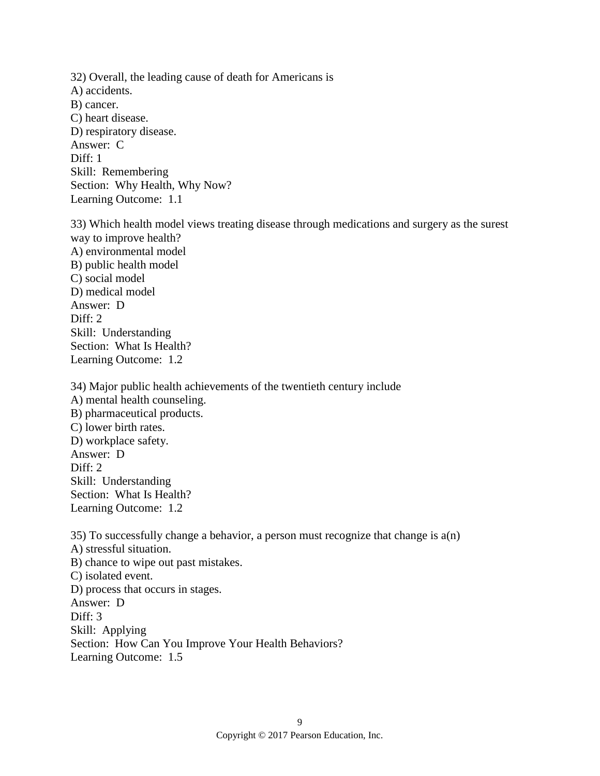32) Overall, the leading cause of death for Americans is A) accidents. B) cancer. C) heart disease. D) respiratory disease. Answer: C Diff: 1 Skill: Remembering Section: Why Health, Why Now? Learning Outcome: 1.1

33) Which health model views treating disease through medications and surgery as the surest way to improve health? A) environmental model B) public health model C) social model D) medical model Answer: D Diff: 2 Skill: Understanding Section: What Is Health? Learning Outcome: 1.2

34) Major public health achievements of the twentieth century include A) mental health counseling. B) pharmaceutical products. C) lower birth rates. D) workplace safety. Answer: D Diff: 2 Skill: Understanding Section: What Is Health? Learning Outcome: 1.2

35) To successfully change a behavior, a person must recognize that change is a(n) A) stressful situation. B) chance to wipe out past mistakes. C) isolated event. D) process that occurs in stages. Answer: D Diff: 3 Skill: Applying Section: How Can You Improve Your Health Behaviors? Learning Outcome: 1.5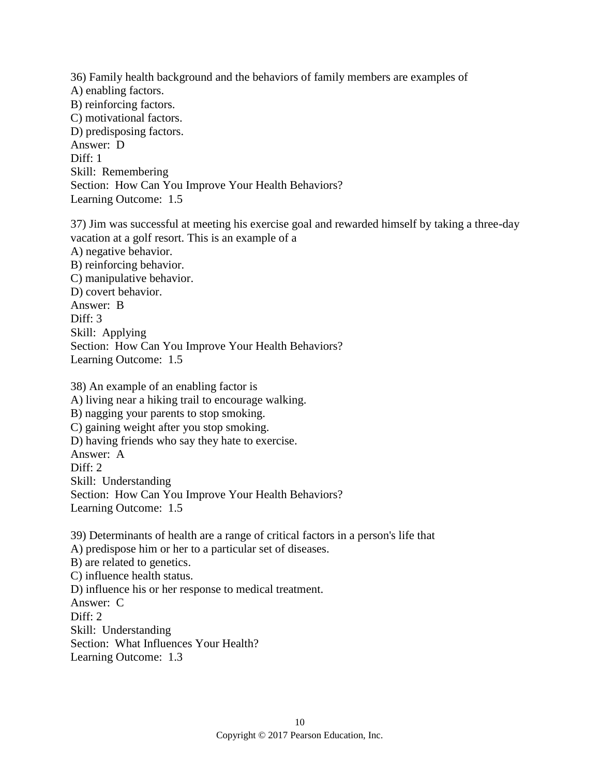36) Family health background and the behaviors of family members are examples of A) enabling factors. B) reinforcing factors. C) motivational factors. D) predisposing factors. Answer: D Diff: 1 Skill: Remembering Section: How Can You Improve Your Health Behaviors? Learning Outcome: 1.5

37) Jim was successful at meeting his exercise goal and rewarded himself by taking a three-day vacation at a golf resort. This is an example of a A) negative behavior. B) reinforcing behavior. C) manipulative behavior. D) covert behavior. Answer: B Diff: 3 Skill: Applying Section: How Can You Improve Your Health Behaviors? Learning Outcome: 1.5

38) An example of an enabling factor is A) living near a hiking trail to encourage walking. B) nagging your parents to stop smoking. C) gaining weight after you stop smoking. D) having friends who say they hate to exercise. Answer: A Diff: 2 Skill: Understanding Section: How Can You Improve Your Health Behaviors? Learning Outcome: 1.5

39) Determinants of health are a range of critical factors in a person's life that A) predispose him or her to a particular set of diseases. B) are related to genetics. C) influence health status. D) influence his or her response to medical treatment. Answer: C Diff: 2 Skill: Understanding Section: What Influences Your Health? Learning Outcome: 1.3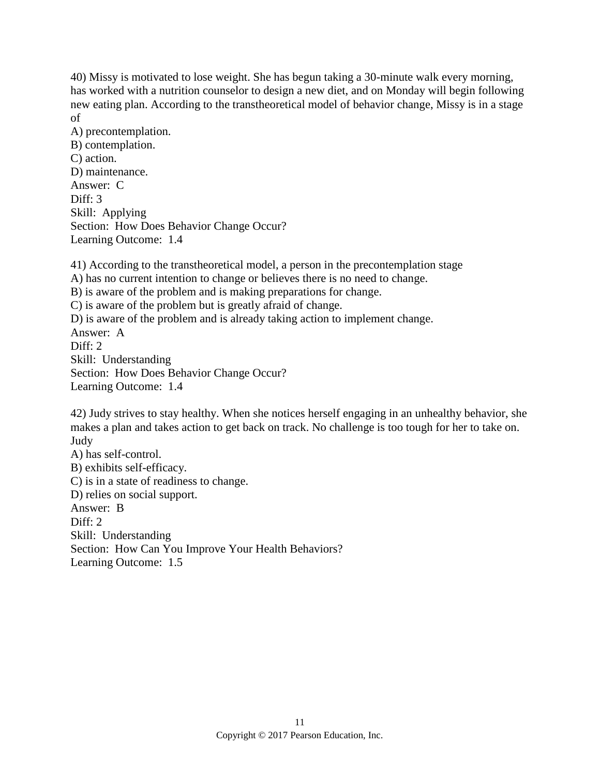40) Missy is motivated to lose weight. She has begun taking a 30-minute walk every morning, has worked with a nutrition counselor to design a new diet, and on Monday will begin following new eating plan. According to the transtheoretical model of behavior change, Missy is in a stage of

A) precontemplation. B) contemplation. C) action. D) maintenance. Answer: C Diff: 3 Skill: Applying Section: How Does Behavior Change Occur? Learning Outcome: 1.4

41) According to the transtheoretical model, a person in the precontemplation stage A) has no current intention to change or believes there is no need to change. B) is aware of the problem and is making preparations for change. C) is aware of the problem but is greatly afraid of change. D) is aware of the problem and is already taking action to implement change. Answer: A Diff: 2 Skill: Understanding Section: How Does Behavior Change Occur? Learning Outcome: 1.4

42) Judy strives to stay healthy. When she notices herself engaging in an unhealthy behavior, she makes a plan and takes action to get back on track. No challenge is too tough for her to take on. Judy

A) has self-control. B) exhibits self-efficacy. C) is in a state of readiness to change. D) relies on social support. Answer: B Diff: 2 Skill: Understanding Section: How Can You Improve Your Health Behaviors? Learning Outcome: 1.5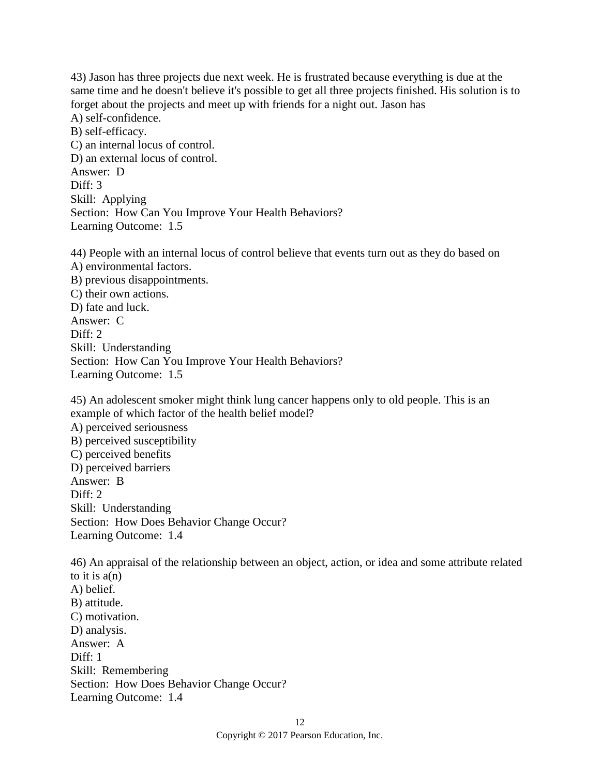43) Jason has three projects due next week. He is frustrated because everything is due at the same time and he doesn't believe it's possible to get all three projects finished. His solution is to forget about the projects and meet up with friends for a night out. Jason has A) self-confidence. B) self-efficacy. C) an internal locus of control. D) an external locus of control. Answer: D Diff: 3 Skill: Applying Section: How Can You Improve Your Health Behaviors? Learning Outcome: 1.5

44) People with an internal locus of control believe that events turn out as they do based on A) environmental factors. B) previous disappointments. C) their own actions. D) fate and luck. Answer: C Diff: 2 Skill: Understanding Section: How Can You Improve Your Health Behaviors? Learning Outcome: 1.5

45) An adolescent smoker might think lung cancer happens only to old people. This is an example of which factor of the health belief model? A) perceived seriousness B) perceived susceptibility C) perceived benefits D) perceived barriers Answer: B Diff:  $2$ Skill: Understanding Section: How Does Behavior Change Occur? Learning Outcome: 1.4

46) An appraisal of the relationship between an object, action, or idea and some attribute related to it is  $a(n)$ A) belief. B) attitude. C) motivation. D) analysis. Answer: A Diff: 1 Skill: Remembering Section: How Does Behavior Change Occur? Learning Outcome: 1.4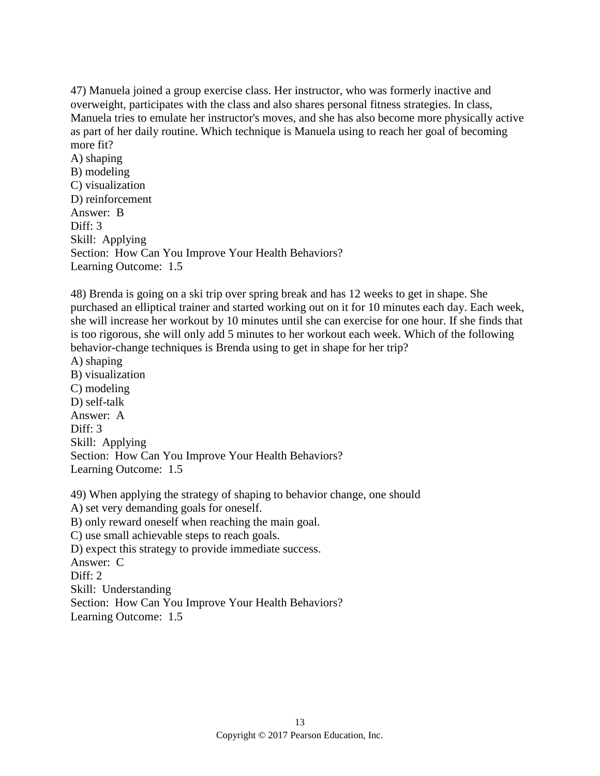47) Manuela joined a group exercise class. Her instructor, who was formerly inactive and overweight, participates with the class and also shares personal fitness strategies. In class, Manuela tries to emulate her instructor's moves, and she has also become more physically active as part of her daily routine. Which technique is Manuela using to reach her goal of becoming more fit?

A) shaping B) modeling C) visualization D) reinforcement Answer: B Diff: 3 Skill: Applying Section: How Can You Improve Your Health Behaviors? Learning Outcome: 1.5

48) Brenda is going on a ski trip over spring break and has 12 weeks to get in shape. She purchased an elliptical trainer and started working out on it for 10 minutes each day. Each week, she will increase her workout by 10 minutes until she can exercise for one hour. If she finds that is too rigorous, she will only add 5 minutes to her workout each week. Which of the following behavior-change techniques is Brenda using to get in shape for her trip?

A) shaping B) visualization C) modeling D) self-talk Answer: A Diff: 3 Skill: Applying Section: How Can You Improve Your Health Behaviors? Learning Outcome: 1.5

49) When applying the strategy of shaping to behavior change, one should A) set very demanding goals for oneself. B) only reward oneself when reaching the main goal. C) use small achievable steps to reach goals. D) expect this strategy to provide immediate success. Answer: C Diff: 2 Skill: Understanding Section: How Can You Improve Your Health Behaviors? Learning Outcome: 1.5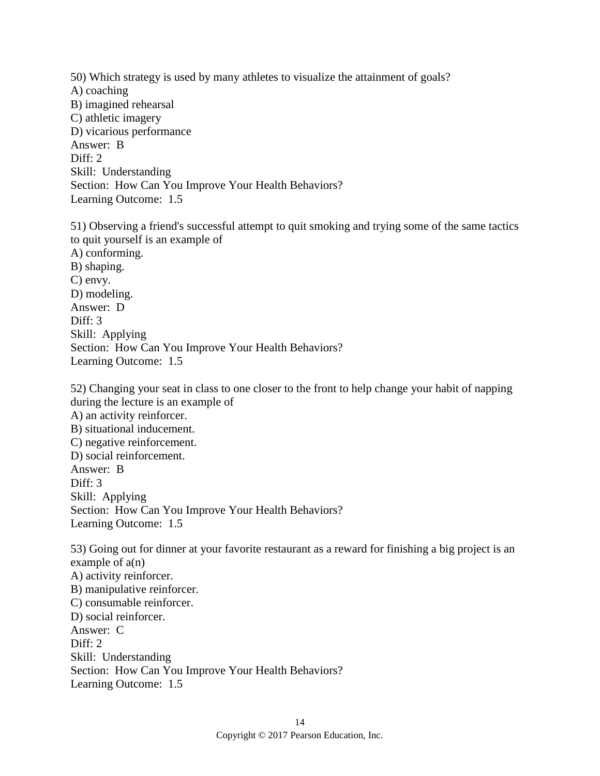50) Which strategy is used by many athletes to visualize the attainment of goals? A) coaching B) imagined rehearsal C) athletic imagery D) vicarious performance Answer: B Diff: 2 Skill: Understanding Section: How Can You Improve Your Health Behaviors? Learning Outcome: 1.5 51) Observing a friend's successful attempt to quit smoking and trying some of the same tactics to quit yourself is an example of A) conforming. B) shaping. C) envy. D) modeling. Answer: D Diff: 3 Skill: Applying Section: How Can You Improve Your Health Behaviors? Learning Outcome: 1.5

52) Changing your seat in class to one closer to the front to help change your habit of napping during the lecture is an example of A) an activity reinforcer. B) situational inducement. C) negative reinforcement. D) social reinforcement. Answer: B Diff: 3 Skill: Applying Section: How Can You Improve Your Health Behaviors? Learning Outcome: 1.5 53) Going out for dinner at your favorite restaurant as a reward for finishing a big project is an example of  $a(n)$ A) activity reinforcer. B) manipulative reinforcer. C) consumable reinforcer.

D) social reinforcer. Answer: C Diff: 2 Skill: Understanding Section: How Can You Improve Your Health Behaviors? Learning Outcome: 1.5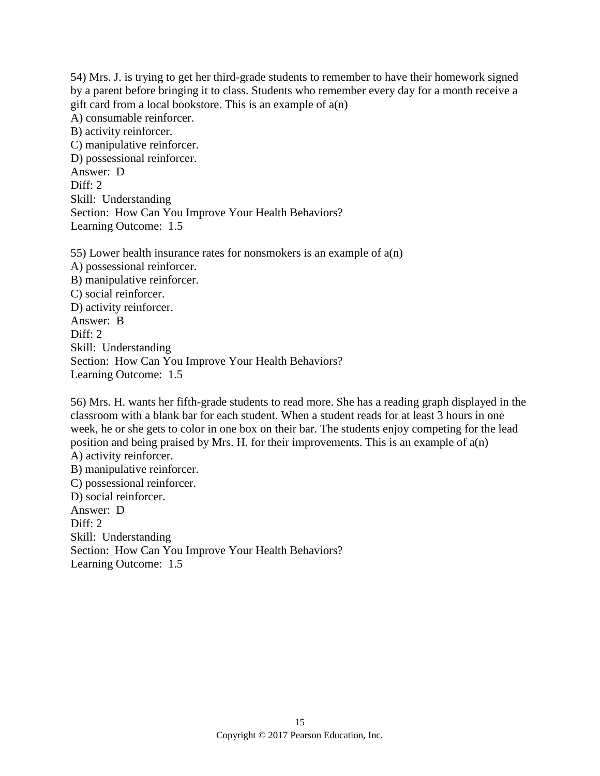54) Mrs. J. is trying to get her third-grade students to remember to have their homework signed by a parent before bringing it to class. Students who remember every day for a month receive a gift card from a local bookstore. This is an example of  $a(n)$ A) consumable reinforcer. B) activity reinforcer. C) manipulative reinforcer. D) possessional reinforcer. Answer: D Diff: 2 Skill: Understanding Section: How Can You Improve Your Health Behaviors? Learning Outcome: 1.5

55) Lower health insurance rates for nonsmokers is an example of  $a(n)$ A) possessional reinforcer. B) manipulative reinforcer. C) social reinforcer. D) activity reinforcer. Answer: B Diff: 2 Skill: Understanding Section: How Can You Improve Your Health Behaviors? Learning Outcome: 1.5

56) Mrs. H. wants her fifth-grade students to read more. She has a reading graph displayed in the classroom with a blank bar for each student. When a student reads for at least 3 hours in one week, he or she gets to color in one box on their bar. The students enjoy competing for the lead position and being praised by Mrs. H. for their improvements. This is an example of a(n) A) activity reinforcer. B) manipulative reinforcer. C) possessional reinforcer.

D) social reinforcer. Answer: D Diff: 2 Skill: Understanding Section: How Can You Improve Your Health Behaviors? Learning Outcome: 1.5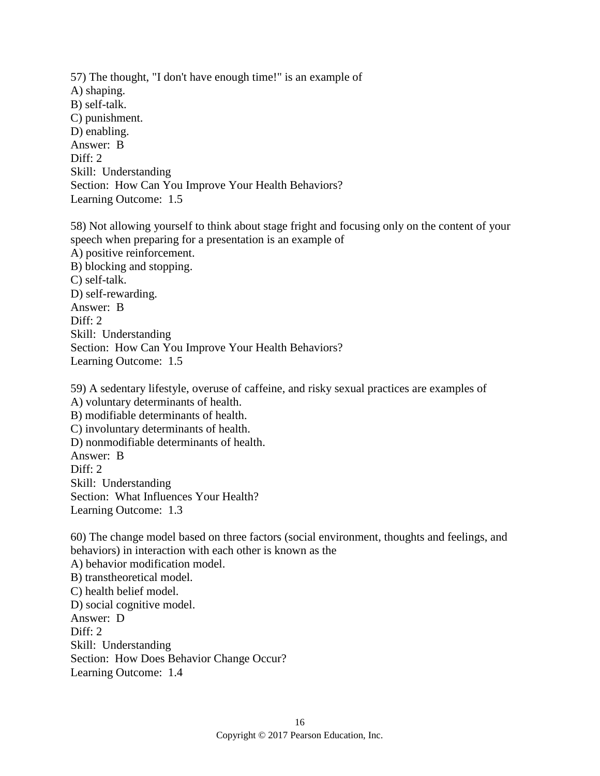57) The thought, "I don't have enough time!" is an example of A) shaping. B) self-talk. C) punishment. D) enabling. Answer: B Diff: 2 Skill: Understanding Section: How Can You Improve Your Health Behaviors? Learning Outcome: 1.5

58) Not allowing yourself to think about stage fright and focusing only on the content of your speech when preparing for a presentation is an example of A) positive reinforcement. B) blocking and stopping. C) self-talk. D) self-rewarding. Answer: B Diff: 2 Skill: Understanding Section: How Can You Improve Your Health Behaviors? Learning Outcome: 1.5

59) A sedentary lifestyle, overuse of caffeine, and risky sexual practices are examples of A) voluntary determinants of health. B) modifiable determinants of health. C) involuntary determinants of health. D) nonmodifiable determinants of health. Answer: B Diff: 2 Skill: Understanding Section: What Influences Your Health? Learning Outcome: 1.3

60) The change model based on three factors (social environment, thoughts and feelings, and behaviors) in interaction with each other is known as the A) behavior modification model. B) transtheoretical model. C) health belief model. D) social cognitive model. Answer: D Diff: 2 Skill: Understanding Section: How Does Behavior Change Occur? Learning Outcome: 1.4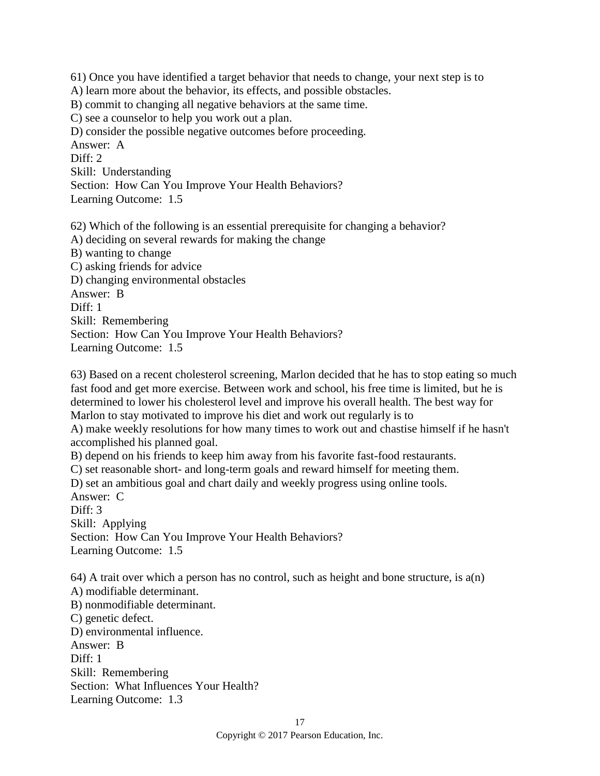61) Once you have identified a target behavior that needs to change, your next step is to A) learn more about the behavior, its effects, and possible obstacles. B) commit to changing all negative behaviors at the same time. C) see a counselor to help you work out a plan. D) consider the possible negative outcomes before proceeding. Answer: A Diff: 2 Skill: Understanding Section: How Can You Improve Your Health Behaviors? Learning Outcome: 1.5

62) Which of the following is an essential prerequisite for changing a behavior? A) deciding on several rewards for making the change B) wanting to change C) asking friends for advice D) changing environmental obstacles Answer: B Diff: 1 Skill: Remembering Section: How Can You Improve Your Health Behaviors? Learning Outcome: 1.5

63) Based on a recent cholesterol screening, Marlon decided that he has to stop eating so much fast food and get more exercise. Between work and school, his free time is limited, but he is determined to lower his cholesterol level and improve his overall health. The best way for Marlon to stay motivated to improve his diet and work out regularly is to

A) make weekly resolutions for how many times to work out and chastise himself if he hasn't accomplished his planned goal.

B) depend on his friends to keep him away from his favorite fast-food restaurants.

C) set reasonable short- and long-term goals and reward himself for meeting them.

D) set an ambitious goal and chart daily and weekly progress using online tools.

Answer: C

Diff: 3 Skill: Applying Section: How Can You Improve Your Health Behaviors? Learning Outcome: 1.5

64) A trait over which a person has no control, such as height and bone structure, is  $a(n)$ A) modifiable determinant. B) nonmodifiable determinant. C) genetic defect. D) environmental influence. Answer: B Diff: 1 Skill: Remembering Section: What Influences Your Health?

Learning Outcome: 1.3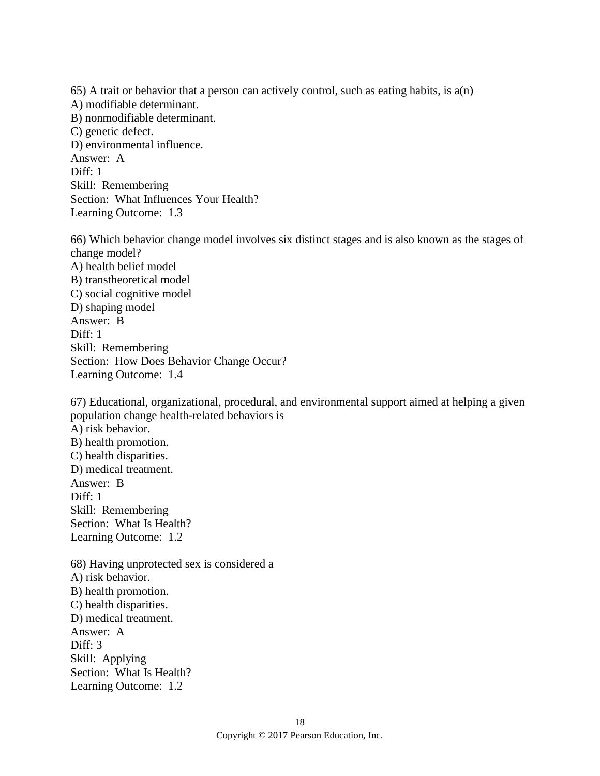65) A trait or behavior that a person can actively control, such as eating habits, is a(n) A) modifiable determinant. B) nonmodifiable determinant. C) genetic defect. D) environmental influence. Answer: A Diff: 1 Skill: Remembering Section: What Influences Your Health?

66) Which behavior change model involves six distinct stages and is also known as the stages of change model? A) health belief model B) transtheoretical model C) social cognitive model D) shaping model Answer: B Diff: 1 Skill: Remembering Section: How Does Behavior Change Occur? Learning Outcome: 1.4

67) Educational, organizational, procedural, and environmental support aimed at helping a given population change health-related behaviors is A) risk behavior. B) health promotion. C) health disparities. D) medical treatment. Answer: B Diff: 1 Skill: Remembering Section: What Is Health? Learning Outcome: 1.2 68) Having unprotected sex is considered a A) risk behavior. B) health promotion. C) health disparities.

D) medical treatment. Answer: A Diff: 3 Skill: Applying Section: What Is Health? Learning Outcome: 1.2

Learning Outcome: 1.3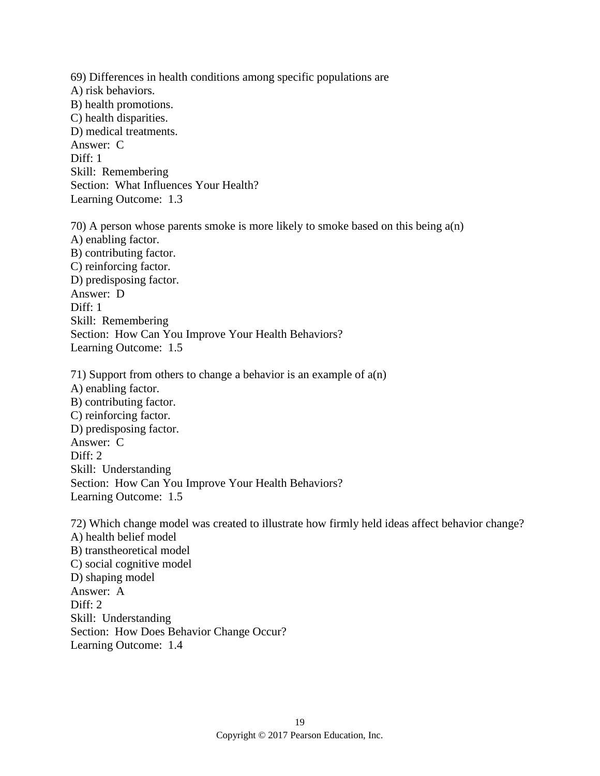69) Differences in health conditions among specific populations are A) risk behaviors. B) health promotions. C) health disparities. D) medical treatments. Answer: C Diff: 1 Skill: Remembering Section: What Influences Your Health? Learning Outcome: 1.3 70) A person whose parents smoke is more likely to smoke based on this being a(n) A) enabling factor. B) contributing factor. C) reinforcing factor. D) predisposing factor. Answer: D Diff: 1 Skill: Remembering Section: How Can You Improve Your Health Behaviors? Learning Outcome: 1.5 71) Support from others to change a behavior is an example of a(n) A) enabling factor. B) contributing factor. C) reinforcing factor. D) predisposing factor. Answer: C Diff: 2 Skill: Understanding Section: How Can You Improve Your Health Behaviors? Learning Outcome: 1.5 72) Which change model was created to illustrate how firmly held ideas affect behavior change? A) health belief model B) transtheoretical model C) social cognitive model D) shaping model Answer: A Diff: 2 Skill: Understanding Section: How Does Behavior Change Occur? Learning Outcome: 1.4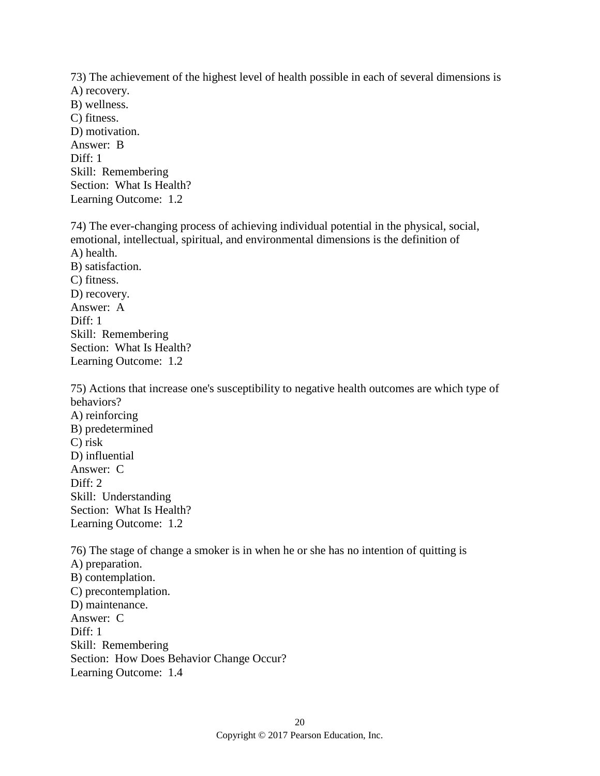73) The achievement of the highest level of health possible in each of several dimensions is A) recovery. B) wellness. C) fitness. D) motivation. Answer: B Diff: 1 Skill: Remembering Section: What Is Health?

Learning Outcome: 1.2

74) The ever-changing process of achieving individual potential in the physical, social, emotional, intellectual, spiritual, and environmental dimensions is the definition of A) health. B) satisfaction. C) fitness. D) recovery. Answer: A Diff: 1 Skill: Remembering Section: What Is Health? Learning Outcome: 1.2

75) Actions that increase one's susceptibility to negative health outcomes are which type of behaviors? A) reinforcing B) predetermined C) risk D) influential Answer: C Diff: 2 Skill: Understanding Section: What Is Health? Learning Outcome: 1.2

76) The stage of change a smoker is in when he or she has no intention of quitting is A) preparation. B) contemplation. C) precontemplation. D) maintenance. Answer: C Diff: 1 Skill: Remembering Section: How Does Behavior Change Occur? Learning Outcome: 1.4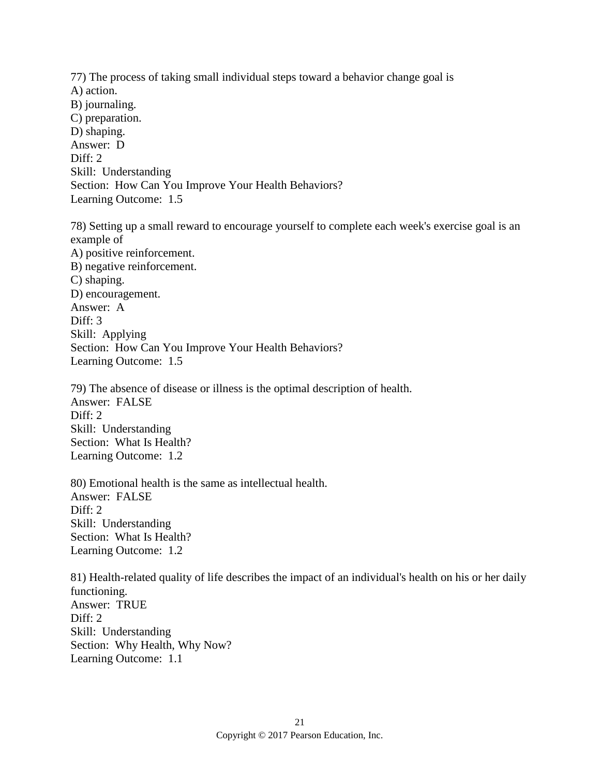77) The process of taking small individual steps toward a behavior change goal is A) action. B) journaling. C) preparation. D) shaping. Answer: D Diff: 2 Skill: Understanding Section: How Can You Improve Your Health Behaviors? Learning Outcome: 1.5

78) Setting up a small reward to encourage yourself to complete each week's exercise goal is an example of A) positive reinforcement. B) negative reinforcement. C) shaping. D) encouragement. Answer: A Diff: 3 Skill: Applying Section: How Can You Improve Your Health Behaviors? Learning Outcome: 1.5

79) The absence of disease or illness is the optimal description of health. Answer: FALSE Diff: 2 Skill: Understanding Section: What Is Health? Learning Outcome: 1.2

80) Emotional health is the same as intellectual health. Answer: FALSE Diff: 2 Skill: Understanding Section: What Is Health? Learning Outcome: 1.2

81) Health-related quality of life describes the impact of an individual's health on his or her daily functioning. Answer: TRUE Diff: 2 Skill: Understanding Section: Why Health, Why Now? Learning Outcome: 1.1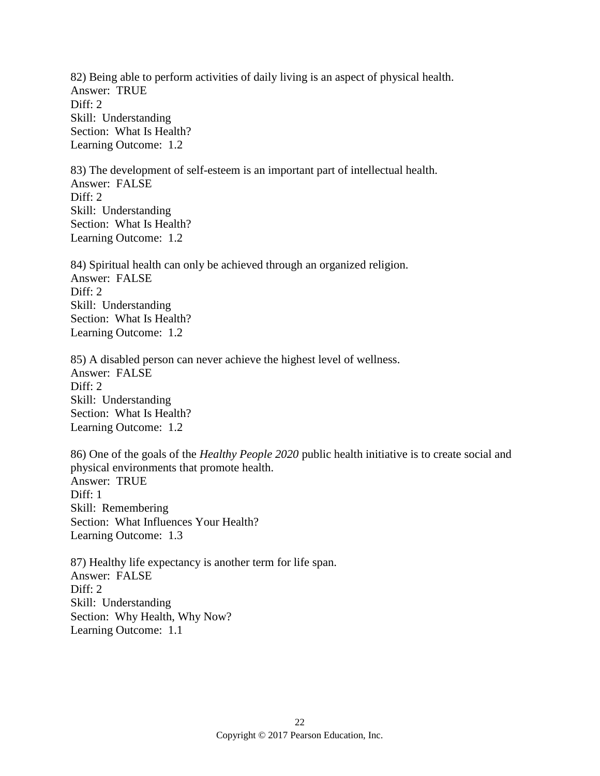82) Being able to perform activities of daily living is an aspect of physical health. Answer: TRUE Diff: 2 Skill: Understanding Section: What Is Health? Learning Outcome: 1.2

83) The development of self-esteem is an important part of intellectual health. Answer: FALSE Diff: 2 Skill: Understanding Section: What Is Health? Learning Outcome: 1.2

84) Spiritual health can only be achieved through an organized religion. Answer: FALSE Diff: 2 Skill: Understanding Section: What Is Health? Learning Outcome: 1.2

85) A disabled person can never achieve the highest level of wellness. Answer: FALSE Diff: 2 Skill: Understanding Section: What Is Health? Learning Outcome: 1.2

86) One of the goals of the *Healthy People 2020* public health initiative is to create social and physical environments that promote health. Answer: TRUE  $Diff: 1$ Skill: Remembering Section: What Influences Your Health? Learning Outcome: 1.3

87) Healthy life expectancy is another term for life span. Answer: FALSE Diff: 2 Skill: Understanding Section: Why Health, Why Now? Learning Outcome: 1.1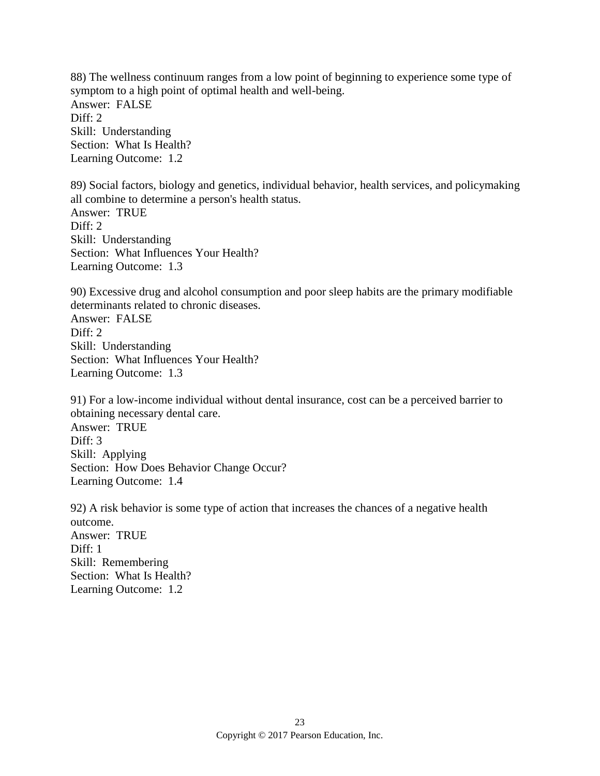88) The wellness continuum ranges from a low point of beginning to experience some type of symptom to a high point of optimal health and well-being. Answer: FALSE Diff: 2 Skill: Understanding Section: What Is Health? Learning Outcome: 1.2

89) Social factors, biology and genetics, individual behavior, health services, and policymaking all combine to determine a person's health status. Answer: TRUE Diff: 2 Skill: Understanding Section: What Influences Your Health? Learning Outcome: 1.3

90) Excessive drug and alcohol consumption and poor sleep habits are the primary modifiable determinants related to chronic diseases. Answer: FALSE Diff: 2 Skill: Understanding Section: What Influences Your Health? Learning Outcome: 1.3

91) For a low-income individual without dental insurance, cost can be a perceived barrier to obtaining necessary dental care. Answer: TRUE Diff: 3 Skill: Applying Section: How Does Behavior Change Occur? Learning Outcome: 1.4

92) A risk behavior is some type of action that increases the chances of a negative health outcome. Answer: TRUE Diff: 1 Skill: Remembering Section: What Is Health? Learning Outcome: 1.2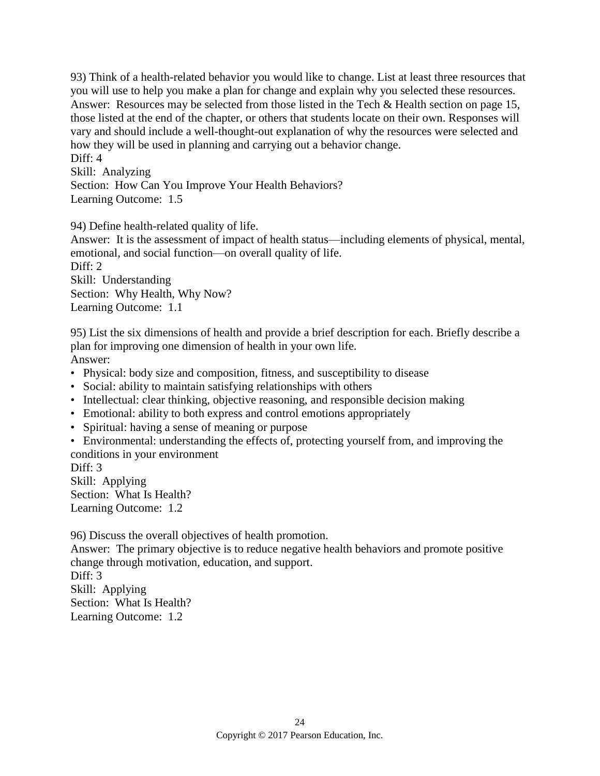93) Think of a health-related behavior you would like to change. List at least three resources that you will use to help you make a plan for change and explain why you selected these resources. Answer: Resources may be selected from those listed in the Tech & Health section on page 15, those listed at the end of the chapter, or others that students locate on their own. Responses will vary and should include a well-thought-out explanation of why the resources were selected and how they will be used in planning and carrying out a behavior change. Diff: 4

Skill: Analyzing Section: How Can You Improve Your Health Behaviors? Learning Outcome: 1.5

94) Define health-related quality of life.

Answer: It is the assessment of impact of health status—including elements of physical, mental, emotional, and social function—on overall quality of life. Diff: 2

Skill: Understanding Section: Why Health, Why Now? Learning Outcome: 1.1

95) List the six dimensions of health and provide a brief description for each. Briefly describe a plan for improving one dimension of health in your own life. Answer:

- Physical: body size and composition, fitness, and susceptibility to disease
- Social: ability to maintain satisfying relationships with others
- Intellectual: clear thinking, objective reasoning, and responsible decision making
- Emotional: ability to both express and control emotions appropriately
- Spiritual: having a sense of meaning or purpose
- Environmental: understanding the effects of, protecting yourself from, and improving the conditions in your environment

Diff: 3 Skill: Applying Section: What Is Health? Learning Outcome: 1.2

96) Discuss the overall objectives of health promotion.

Answer: The primary objective is to reduce negative health behaviors and promote positive change through motivation, education, and support. Diff: 3 Skill: Applying Section: What Is Health? Learning Outcome: 1.2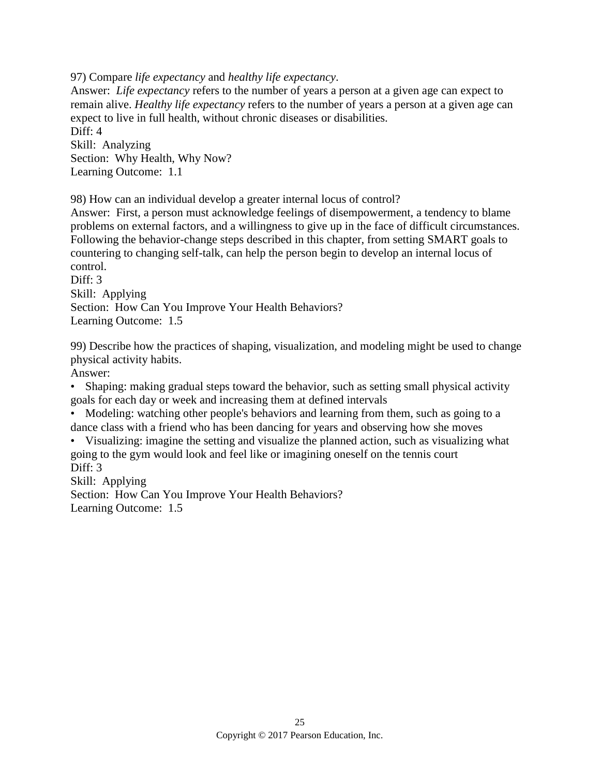97) Compare *life expectancy* and *healthy life expectancy*.

Answer: *Life expectancy* refers to the number of years a person at a given age can expect to remain alive. *Healthy life expectancy* refers to the number of years a person at a given age can expect to live in full health, without chronic diseases or disabilities. Diff: 4

Skill: Analyzing Section: Why Health, Why Now? Learning Outcome: 1.1

98) How can an individual develop a greater internal locus of control?

Answer: First, a person must acknowledge feelings of disempowerment, a tendency to blame problems on external factors, and a willingness to give up in the face of difficult circumstances. Following the behavior-change steps described in this chapter, from setting SMART goals to countering to changing self-talk, can help the person begin to develop an internal locus of control.

Diff: 3 Skill: Applying Section: How Can You Improve Your Health Behaviors? Learning Outcome: 1.5

99) Describe how the practices of shaping, visualization, and modeling might be used to change physical activity habits.

Answer:

• Shaping: making gradual steps toward the behavior, such as setting small physical activity goals for each day or week and increasing them at defined intervals

• Modeling: watching other people's behaviors and learning from them, such as going to a dance class with a friend who has been dancing for years and observing how she moves

• Visualizing: imagine the setting and visualize the planned action, such as visualizing what going to the gym would look and feel like or imagining oneself on the tennis court Diff: 3

Skill: Applying Section: How Can You Improve Your Health Behaviors? Learning Outcome: 1.5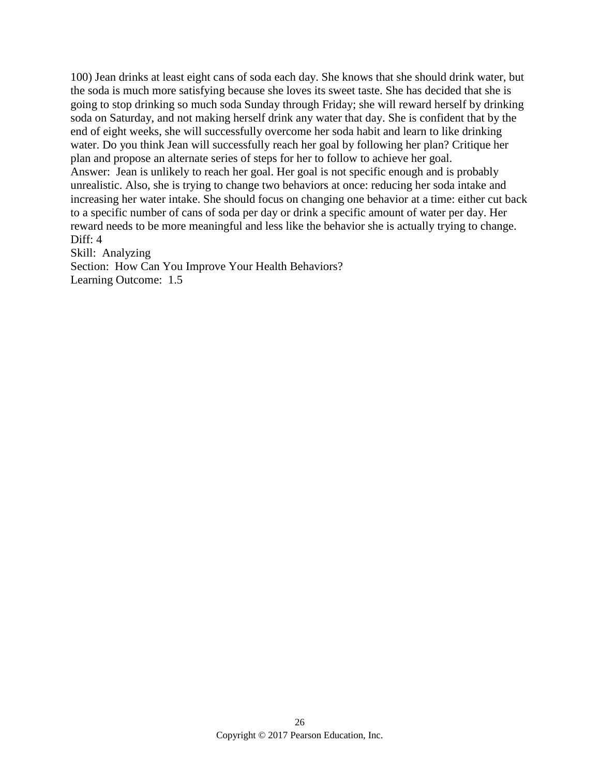100) Jean drinks at least eight cans of soda each day. She knows that she should drink water, but the soda is much more satisfying because she loves its sweet taste. She has decided that she is going to stop drinking so much soda Sunday through Friday; she will reward herself by drinking soda on Saturday, and not making herself drink any water that day. She is confident that by the end of eight weeks, she will successfully overcome her soda habit and learn to like drinking water. Do you think Jean will successfully reach her goal by following her plan? Critique her plan and propose an alternate series of steps for her to follow to achieve her goal. Answer: Jean is unlikely to reach her goal. Her goal is not specific enough and is probably unrealistic. Also, she is trying to change two behaviors at once: reducing her soda intake and increasing her water intake. She should focus on changing one behavior at a time: either cut back to a specific number of cans of soda per day or drink a specific amount of water per day. Her reward needs to be more meaningful and less like the behavior she is actually trying to change. Diff: 4

Skill: Analyzing

Section: How Can You Improve Your Health Behaviors? Learning Outcome: 1.5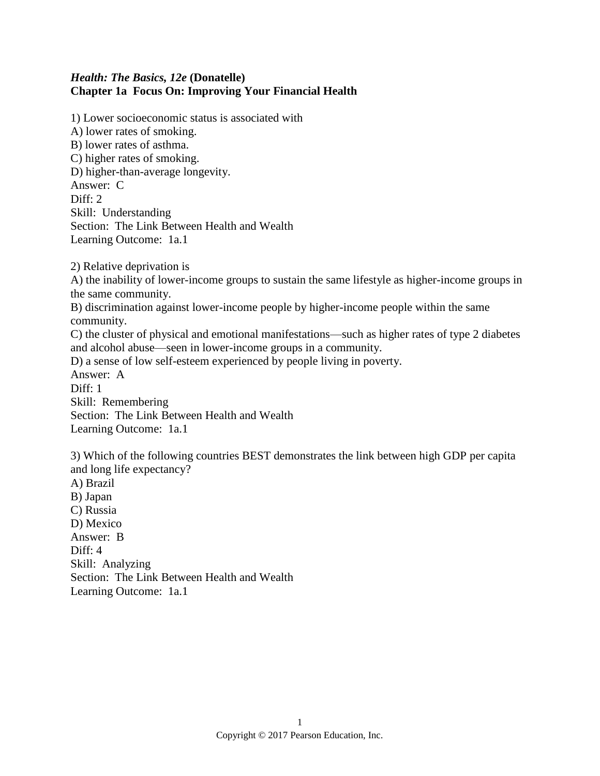## *Health: The Basics, 12e* **(Donatelle) Chapter 1a Focus On: Improving Your Financial Health**

1) Lower socioeconomic status is associated with A) lower rates of smoking. B) lower rates of asthma. C) higher rates of smoking. D) higher-than-average longevity. Answer: C Diff: 2 Skill: Understanding Section: The Link Between Health and Wealth Learning Outcome: 1a.1

2) Relative deprivation is

A) the inability of lower-income groups to sustain the same lifestyle as higher-income groups in the same community.

B) discrimination against lower-income people by higher-income people within the same community.

C) the cluster of physical and emotional manifestations—such as higher rates of type 2 diabetes and alcohol abuse—seen in lower-income groups in a community.

D) a sense of low self-esteem experienced by people living in poverty.

Answer: A Diff: 1

Skill: Remembering

Section: The Link Between Health and Wealth Learning Outcome: 1a.1

3) Which of the following countries BEST demonstrates the link between high GDP per capita and long life expectancy?

A) Brazil B) Japan C) Russia D) Mexico Answer: B Diff: 4 Skill: Analyzing Section: The Link Between Health and Wealth Learning Outcome: 1a.1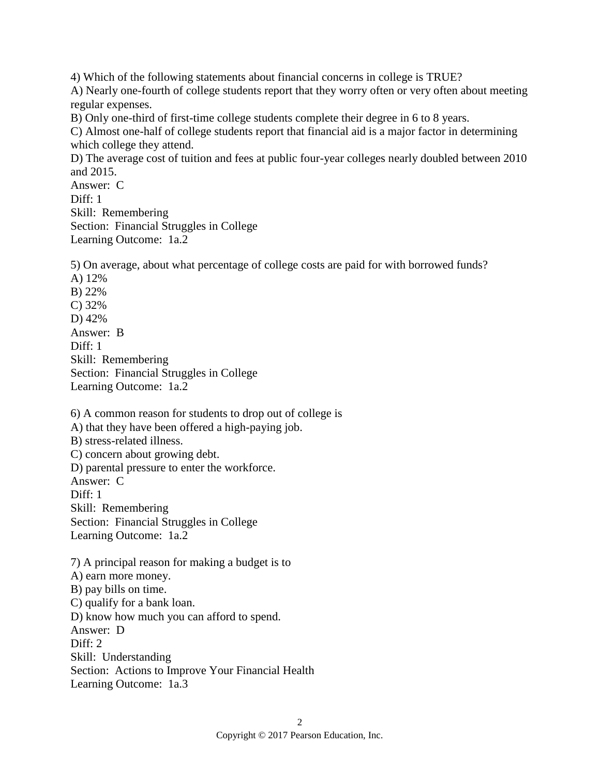4) Which of the following statements about financial concerns in college is TRUE? A) Nearly one-fourth of college students report that they worry often or very often about meeting regular expenses.

B) Only one-third of first-time college students complete their degree in 6 to 8 years.

C) Almost one-half of college students report that financial aid is a major factor in determining which college they attend.

D) The average cost of tuition and fees at public four-year colleges nearly doubled between 2010 and 2015.

Answer: C Diff: 1 Skill: Remembering Section: Financial Struggles in College Learning Outcome: 1a.2

5) On average, about what percentage of college costs are paid for with borrowed funds?

A) 12% B) 22% C) 32% D) 42% Answer: B Diff: 1 Skill: Remembering Section: Financial Struggles in College Learning Outcome: 1a.2

6) A common reason for students to drop out of college is

A) that they have been offered a high-paying job.

B) stress-related illness.

C) concern about growing debt.

D) parental pressure to enter the workforce.

Answer: C

Diff: 1

Skill: Remembering

Section: Financial Struggles in College

Learning Outcome: 1a.2

7) A principal reason for making a budget is to A) earn more money. B) pay bills on time. C) qualify for a bank loan. D) know how much you can afford to spend. Answer: D Diff: 2 Skill: Understanding Section: Actions to Improve Your Financial Health Learning Outcome: 1a.3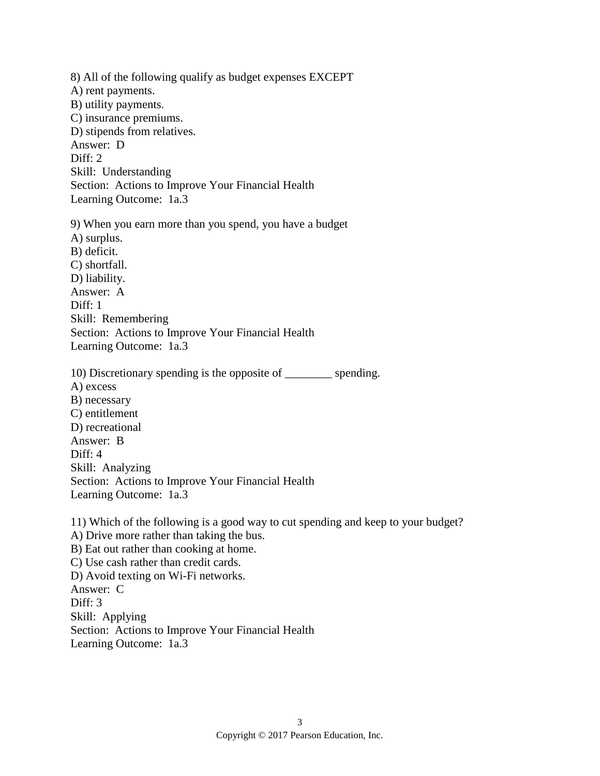8) All of the following qualify as budget expenses EXCEPT A) rent payments. B) utility payments. C) insurance premiums. D) stipends from relatives. Answer: D Diff: 2 Skill: Understanding Section: Actions to Improve Your Financial Health Learning Outcome: 1a.3 9) When you earn more than you spend, you have a budget A) surplus. B) deficit. C) shortfall. D) liability. Answer: A Diff: 1 Skill: Remembering Section: Actions to Improve Your Financial Health Learning Outcome: 1a.3

10) Discretionary spending is the opposite of \_\_\_\_\_\_\_\_ spending. A) excess B) necessary C) entitlement D) recreational Answer: B Diff: 4 Skill: Analyzing Section: Actions to Improve Your Financial Health Learning Outcome: 1a.3

11) Which of the following is a good way to cut spending and keep to your budget? A) Drive more rather than taking the bus. B) Eat out rather than cooking at home. C) Use cash rather than credit cards. D) Avoid texting on Wi-Fi networks. Answer: C Diff: 3 Skill: Applying Section: Actions to Improve Your Financial Health

Learning Outcome: 1a.3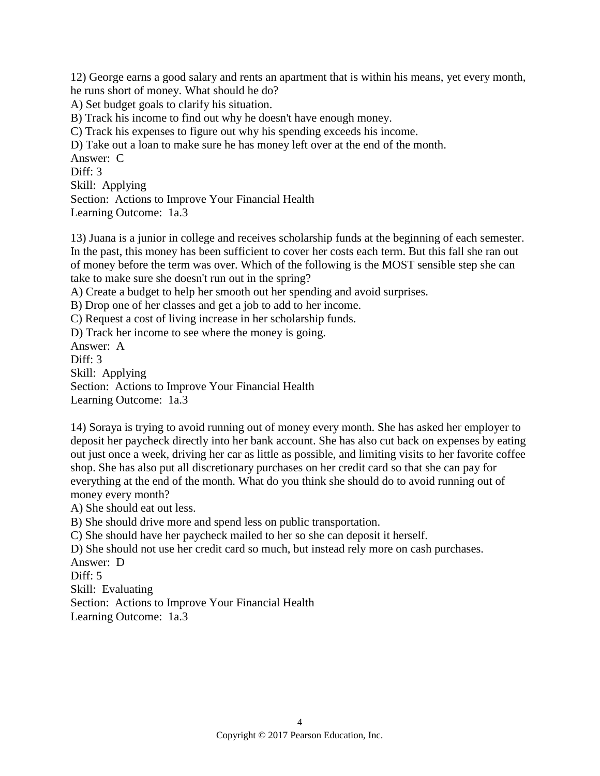12) George earns a good salary and rents an apartment that is within his means, yet every month, he runs short of money. What should he do?

A) Set budget goals to clarify his situation.

B) Track his income to find out why he doesn't have enough money.

C) Track his expenses to figure out why his spending exceeds his income.

D) Take out a loan to make sure he has money left over at the end of the month.

Answer: C Diff: 3 Skill: Applying Section: Actions to Improve Your Financial Health Learning Outcome: 1a.3

13) Juana is a junior in college and receives scholarship funds at the beginning of each semester. In the past, this money has been sufficient to cover her costs each term. But this fall she ran out of money before the term was over. Which of the following is the MOST sensible step she can take to make sure she doesn't run out in the spring?

A) Create a budget to help her smooth out her spending and avoid surprises.

B) Drop one of her classes and get a job to add to her income.

C) Request a cost of living increase in her scholarship funds.

D) Track her income to see where the money is going.

Answer: A Diff: 3 Skill: Applying

Section: Actions to Improve Your Financial Health Learning Outcome: 1a.3

14) Soraya is trying to avoid running out of money every month. She has asked her employer to deposit her paycheck directly into her bank account. She has also cut back on expenses by eating out just once a week, driving her car as little as possible, and limiting visits to her favorite coffee shop. She has also put all discretionary purchases on her credit card so that she can pay for everything at the end of the month. What do you think she should do to avoid running out of money every month?

A) She should eat out less.

B) She should drive more and spend less on public transportation.

C) She should have her paycheck mailed to her so she can deposit it herself.

D) She should not use her credit card so much, but instead rely more on cash purchases.

Answer: D

Diff: 5

Skill: Evaluating

Section: Actions to Improve Your Financial Health

Learning Outcome: 1a.3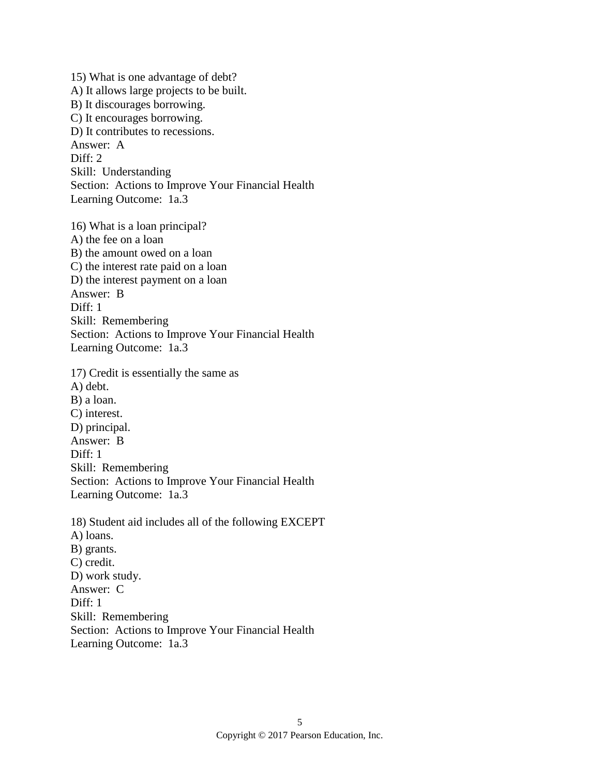15) What is one advantage of debt? A) It allows large projects to be built. B) It discourages borrowing. C) It encourages borrowing. D) It contributes to recessions. Answer: A Diff: 2 Skill: Understanding Section: Actions to Improve Your Financial Health Learning Outcome: 1a.3 16) What is a loan principal? A) the fee on a loan B) the amount owed on a loan C) the interest rate paid on a loan D) the interest payment on a loan Answer: B Diff: 1 Skill: Remembering Section: Actions to Improve Your Financial Health Learning Outcome: 1a.3 17) Credit is essentially the same as A) debt. B) a loan. C) interest. D) principal. Answer: B Diff: 1 Skill: Remembering Section: Actions to Improve Your Financial Health Learning Outcome: 1a.3 18) Student aid includes all of the following EXCEPT A) loans. B) grants. C) credit. D) work study. Answer: C Diff: 1 Skill: Remembering Section: Actions to Improve Your Financial Health Learning Outcome: 1a.3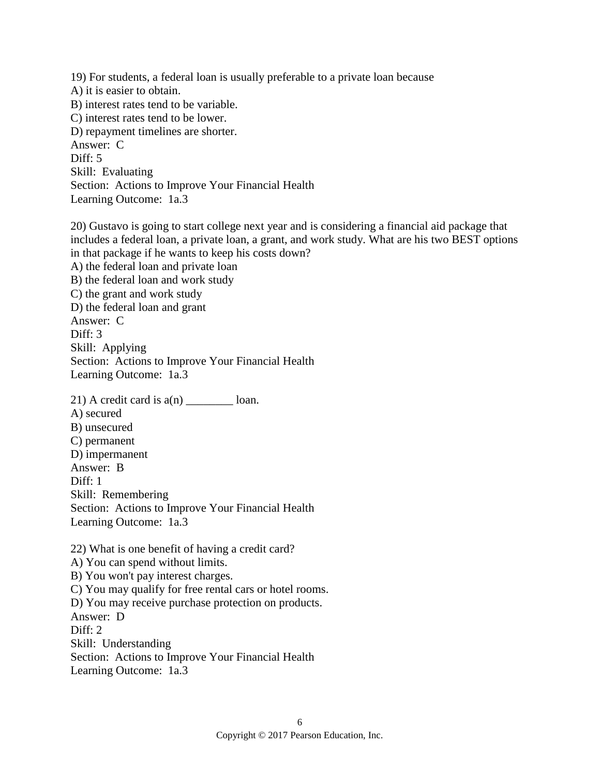19) For students, a federal loan is usually preferable to a private loan because A) it is easier to obtain. B) interest rates tend to be variable. C) interest rates tend to be lower. D) repayment timelines are shorter. Answer: C Diff: 5 Skill: Evaluating Section: Actions to Improve Your Financial Health Learning Outcome: 1a.3

20) Gustavo is going to start college next year and is considering a financial aid package that includes a federal loan, a private loan, a grant, and work study. What are his two BEST options in that package if he wants to keep his costs down? A) the federal loan and private loan B) the federal loan and work study C) the grant and work study D) the federal loan and grant Answer: C Diff: 3 Skill: Applying Section: Actions to Improve Your Financial Health Learning Outcome: 1a.3 21) A credit card is  $a(n)$   $\qquad \qquad$  loan.

A) secured B) unsecured C) permanent D) impermanent Answer: B Diff: 1 Skill: Remembering Section: Actions to Improve Your Financial Health Learning Outcome: 1a.3

22) What is one benefit of having a credit card? A) You can spend without limits. B) You won't pay interest charges. C) You may qualify for free rental cars or hotel rooms. D) You may receive purchase protection on products. Answer: D Diff: 2 Skill: Understanding Section: Actions to Improve Your Financial Health Learning Outcome: 1a.3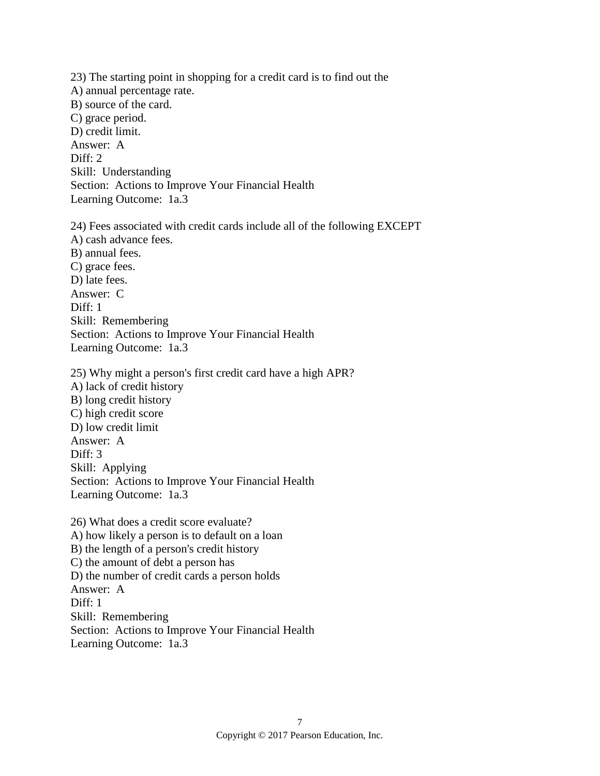23) The starting point in shopping for a credit card is to find out the A) annual percentage rate. B) source of the card. C) grace period. D) credit limit. Answer: A Diff: 2 Skill: Understanding Section: Actions to Improve Your Financial Health Learning Outcome: 1a.3 24) Fees associated with credit cards include all of the following EXCEPT A) cash advance fees. B) annual fees. C) grace fees. D) late fees. Answer: C Diff: 1 Skill: Remembering Section: Actions to Improve Your Financial Health Learning Outcome: 1a.3 25) Why might a person's first credit card have a high APR? A) lack of credit history B) long credit history C) high credit score D) low credit limit Answer: A Diff: 3 Skill: Applying Section: Actions to Improve Your Financial Health Learning Outcome: 1a.3 26) What does a credit score evaluate? A) how likely a person is to default on a loan B) the length of a person's credit history C) the amount of debt a person has D) the number of credit cards a person holds Answer: A Diff: 1 Skill: Remembering Section: Actions to Improve Your Financial Health

Learning Outcome: 1a.3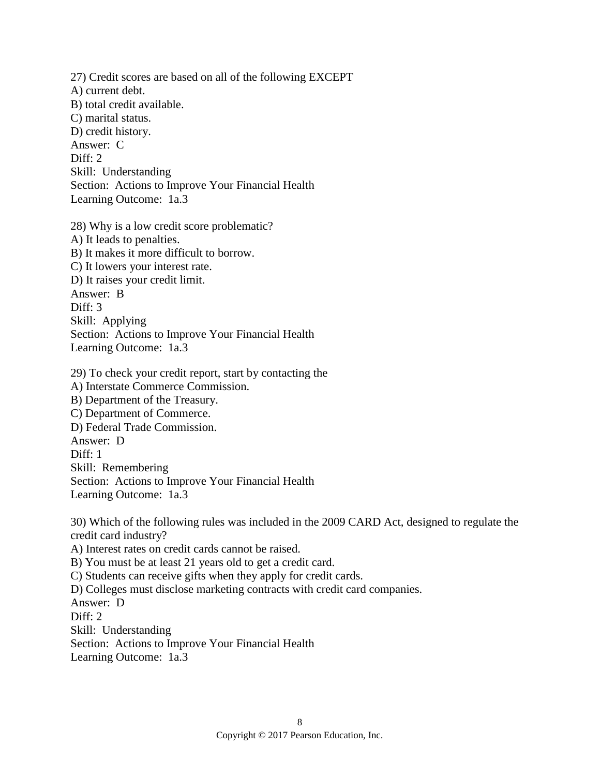27) Credit scores are based on all of the following EXCEPT A) current debt. B) total credit available. C) marital status. D) credit history. Answer: C Diff: 2 Skill: Understanding Section: Actions to Improve Your Financial Health Learning Outcome: 1a.3 28) Why is a low credit score problematic? A) It leads to penalties. B) It makes it more difficult to borrow. C) It lowers your interest rate. D) It raises your credit limit. Answer: B Diff: 3 Skill: Applying Section: Actions to Improve Your Financial Health Learning Outcome: 1a.3 29) To check your credit report, start by contacting the A) Interstate Commerce Commission. B) Department of the Treasury. C) Department of Commerce. D) Federal Trade Commission. Answer: D Diff: 1 Skill: Remembering Section: Actions to Improve Your Financial Health Learning Outcome: 1a.3 30) Which of the following rules was included in the 2009 CARD Act, designed to regulate the credit card industry?

A) Interest rates on credit cards cannot be raised. B) You must be at least 21 years old to get a credit card. C) Students can receive gifts when they apply for credit cards. D) Colleges must disclose marketing contracts with credit card companies. Answer: D Diff: 2 Skill: Understanding Section: Actions to Improve Your Financial Health Learning Outcome: 1a.3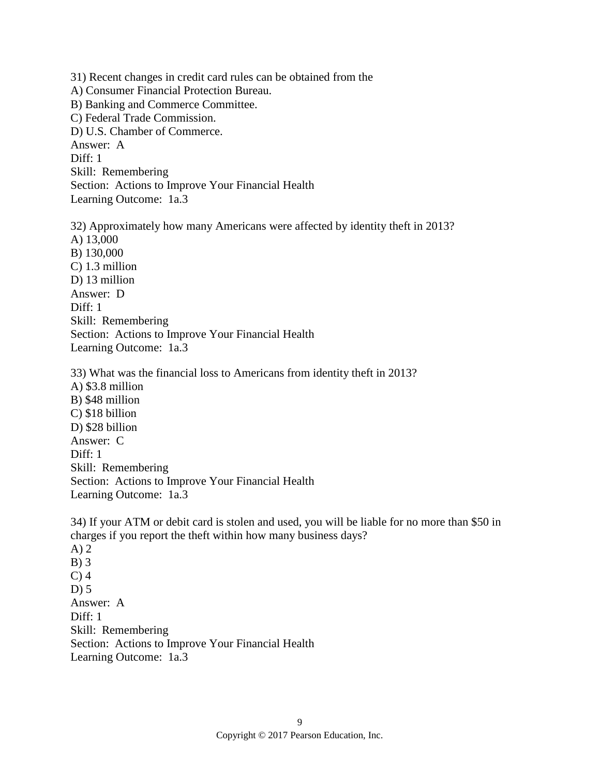31) Recent changes in credit card rules can be obtained from the A) Consumer Financial Protection Bureau. B) Banking and Commerce Committee. C) Federal Trade Commission. D) U.S. Chamber of Commerce. Answer: A Diff: 1 Skill: Remembering Section: Actions to Improve Your Financial Health Learning Outcome: 1a.3 32) Approximately how many Americans were affected by identity theft in 2013? A) 13,000 B) 130,000

C) 1.3 million D) 13 million Answer: D Diff: 1 Skill: Remembering Section: Actions to Improve Your Financial Health Learning Outcome: 1a.3

33) What was the financial loss to Americans from identity theft in 2013? A) \$3.8 million B) \$48 million C) \$18 billion D) \$28 billion Answer: C Diff: 1 Skill: Remembering Section: Actions to Improve Your Financial Health Learning Outcome: 1a.3

34) If your ATM or debit card is stolen and used, you will be liable for no more than \$50 in charges if you report the theft within how many business days? A) 2 B) 3  $C$ ) 4  $D$ ) 5 Answer: A Diff: 1 Skill: Remembering Section: Actions to Improve Your Financial Health Learning Outcome: 1a.3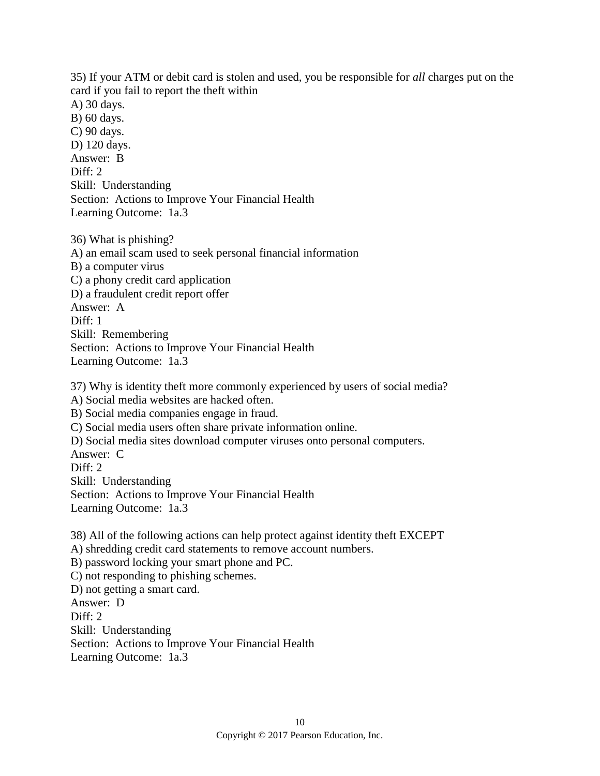35) If your ATM or debit card is stolen and used, you be responsible for *all* charges put on the card if you fail to report the theft within A) 30 days. B) 60 days. C) 90 days. D) 120 days. Answer: B Diff: 2 Skill: Understanding Section: Actions to Improve Your Financial Health

Learning Outcome: 1a.3

36) What is phishing? A) an email scam used to seek personal financial information B) a computer virus C) a phony credit card application D) a fraudulent credit report offer Answer: A Diff: 1 Skill: Remembering Section: Actions to Improve Your Financial Health Learning Outcome: 1a.3

37) Why is identity theft more commonly experienced by users of social media? A) Social media websites are hacked often. B) Social media companies engage in fraud. C) Social media users often share private information online. D) Social media sites download computer viruses onto personal computers. Answer: C Diff: 2 Skill: Understanding Section: Actions to Improve Your Financial Health Learning Outcome: 1a.3

38) All of the following actions can help protect against identity theft EXCEPT A) shredding credit card statements to remove account numbers. B) password locking your smart phone and PC. C) not responding to phishing schemes. D) not getting a smart card. Answer: D Diff: 2 Skill: Understanding Section: Actions to Improve Your Financial Health Learning Outcome: 1a.3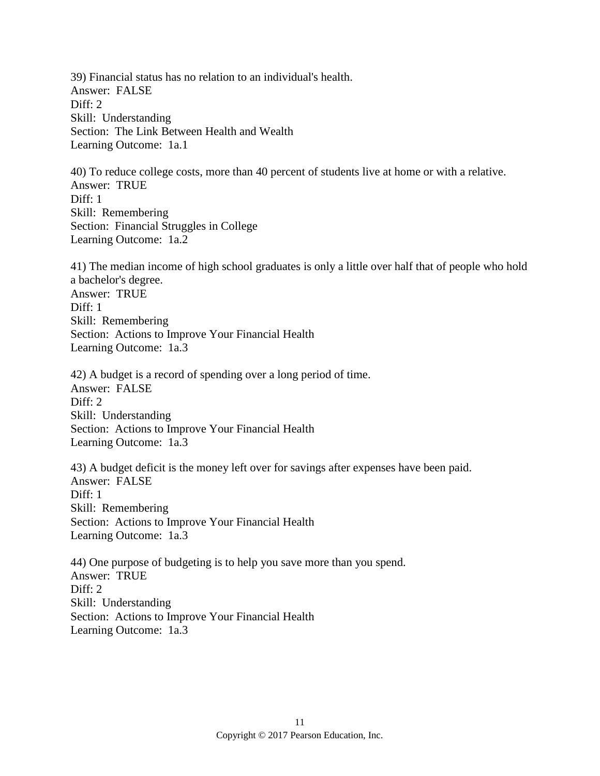39) Financial status has no relation to an individual's health. Answer: FALSE Diff: 2 Skill: Understanding Section: The Link Between Health and Wealth Learning Outcome: 1a.1

40) To reduce college costs, more than 40 percent of students live at home or with a relative. Answer: TRUE Diff: 1 Skill: Remembering Section: Financial Struggles in College Learning Outcome: 1a.2

41) The median income of high school graduates is only a little over half that of people who hold a bachelor's degree. Answer: TRUE Diff: 1 Skill: Remembering Section: Actions to Improve Your Financial Health Learning Outcome: 1a.3

42) A budget is a record of spending over a long period of time. Answer: FALSE  $Diff: 2$ Skill: Understanding Section: Actions to Improve Your Financial Health Learning Outcome: 1a.3

43) A budget deficit is the money left over for savings after expenses have been paid. Answer: FALSE  $Diff: 1$ Skill: Remembering Section: Actions to Improve Your Financial Health Learning Outcome: 1a.3

44) One purpose of budgeting is to help you save more than you spend. Answer: TRUE Diff: 2 Skill: Understanding Section: Actions to Improve Your Financial Health Learning Outcome: 1a.3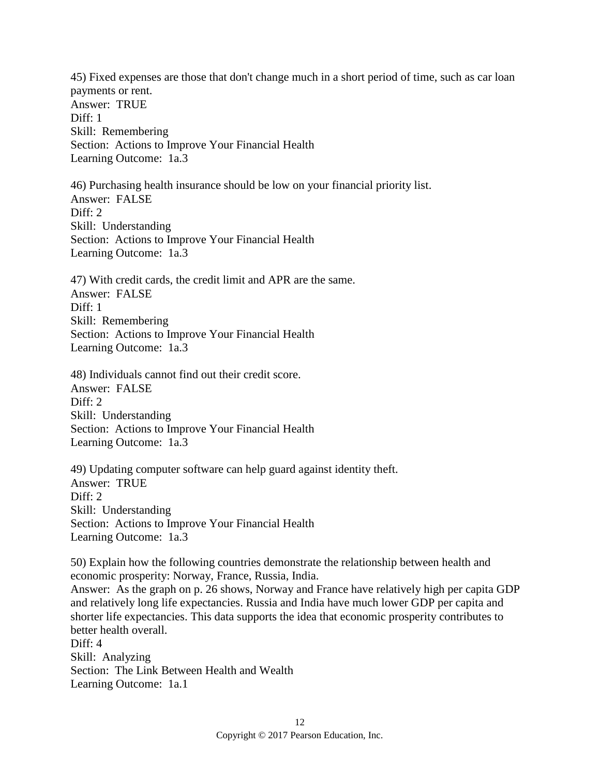45) Fixed expenses are those that don't change much in a short period of time, such as car loan payments or rent. Answer: TRUE Diff: 1 Skill: Remembering Section: Actions to Improve Your Financial Health Learning Outcome: 1a.3 46) Purchasing health insurance should be low on your financial priority list. Answer: FALSE Diff: 2 Skill: Understanding Section: Actions to Improve Your Financial Health Learning Outcome: 1a.3 47) With credit cards, the credit limit and APR are the same. Answer: FALSE Diff: 1 Skill: Remembering Section: Actions to Improve Your Financial Health Learning Outcome: 1a.3 48) Individuals cannot find out their credit score. Answer: FALSE  $Diff: 2$ Skill: Understanding Section: Actions to Improve Your Financial Health Learning Outcome: 1a.3 49) Updating computer software can help guard against identity theft. Answer: TRUE Diff: 2 Skill: Understanding Section: Actions to Improve Your Financial Health Learning Outcome: 1a.3 50) Explain how the following countries demonstrate the relationship between health and economic prosperity: Norway, France, Russia, India. Answer: As the graph on p. 26 shows, Norway and France have relatively high per capita GDP

and relatively long life expectancies. Russia and India have much lower GDP per capita and shorter life expectancies. This data supports the idea that economic prosperity contributes to better health overall. Diff: 4

Skill: Analyzing Section: The Link Between Health and Wealth Learning Outcome: 1a.1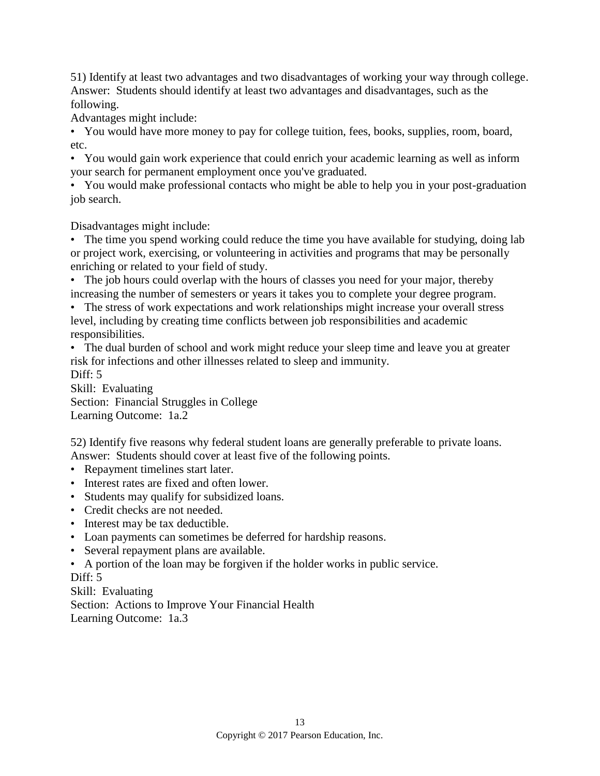51) Identify at least two advantages and two disadvantages of working your way through college. Answer: Students should identify at least two advantages and disadvantages, such as the following.

Advantages might include:

• You would have more money to pay for college tuition, fees, books, supplies, room, board, etc.

• You would gain work experience that could enrich your academic learning as well as inform your search for permanent employment once you've graduated.

• You would make professional contacts who might be able to help you in your post-graduation job search.

Disadvantages might include:

• The time you spend working could reduce the time you have available for studying, doing lab or project work, exercising, or volunteering in activities and programs that may be personally enriching or related to your field of study.

• The job hours could overlap with the hours of classes you need for your major, thereby increasing the number of semesters or years it takes you to complete your degree program.

• The stress of work expectations and work relationships might increase your overall stress level, including by creating time conflicts between job responsibilities and academic responsibilities.

• The dual burden of school and work might reduce your sleep time and leave you at greater risk for infections and other illnesses related to sleep and immunity.

Diff: 5

Skill: Evaluating Section: Financial Struggles in College Learning Outcome: 1a.2

52) Identify five reasons why federal student loans are generally preferable to private loans. Answer: Students should cover at least five of the following points.

- Repayment timelines start later.
- Interest rates are fixed and often lower.
- Students may qualify for subsidized loans.
- Credit checks are not needed.
- Interest may be tax deductible.
- Loan payments can sometimes be deferred for hardship reasons.
- Several repayment plans are available.

• A portion of the loan may be forgiven if the holder works in public service. Diff: 5

Skill: Evaluating Section: Actions to Improve Your Financial Health Learning Outcome: 1a.3